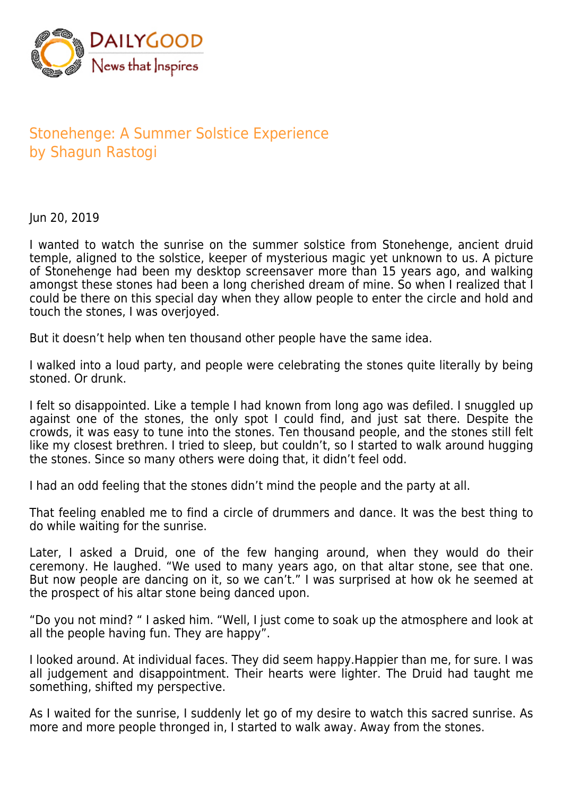

## Stonehenge: A Summer Solstice Experience by Shagun Rastogi

Jun 20, 2019

I wanted to watch the sunrise on the summer solstice from Stonehenge, ancient druid temple, aligned to the solstice, keeper of mysterious magic yet unknown to us. A picture of Stonehenge had been my desktop screensaver more than 15 years ago, and walking amongst these stones had been a long cherished dream of mine. So when I realized that I could be there on this special day when they allow people to enter the circle and hold and touch the stones, I was overjoyed.

But it doesn't help when ten thousand other people have the same idea.

I walked into a loud party, and people were celebrating the stones quite literally by being stoned. Or drunk.

I felt so disappointed. Like a temple I had known from long ago was defiled. I snuggled up against one of the stones, the only spot I could find, and just sat there. Despite the crowds, it was easy to tune into the stones. Ten thousand people, and the stones still felt like my closest brethren. I tried to sleep, but couldn't, so I started to walk around hugging the stones. Since so many others were doing that, it didn't feel odd.

I had an odd feeling that the stones didn't mind the people and the party at all.

That feeling enabled me to find a circle of drummers and dance. It was the best thing to do while waiting for the sunrise.

Later, I asked a Druid, one of the few hanging around, when they would do their ceremony. He laughed. "We used to many years ago, on that altar stone, see that one. But now people are dancing on it, so we can't." I was surprised at how ok he seemed at the prospect of his altar stone being danced upon.

"Do you not mind? " I asked him. "Well, I just come to soak up the atmosphere and look at all the people having fun. They are happy".

I looked around. At individual faces. They did seem happy.Happier than me, for sure. I was all judgement and disappointment. Their hearts were lighter. The Druid had taught me something, shifted my perspective.

As I waited for the sunrise, I suddenly let go of my desire to watch this sacred sunrise. As more and more people thronged in, I started to walk away. Away from the stones.